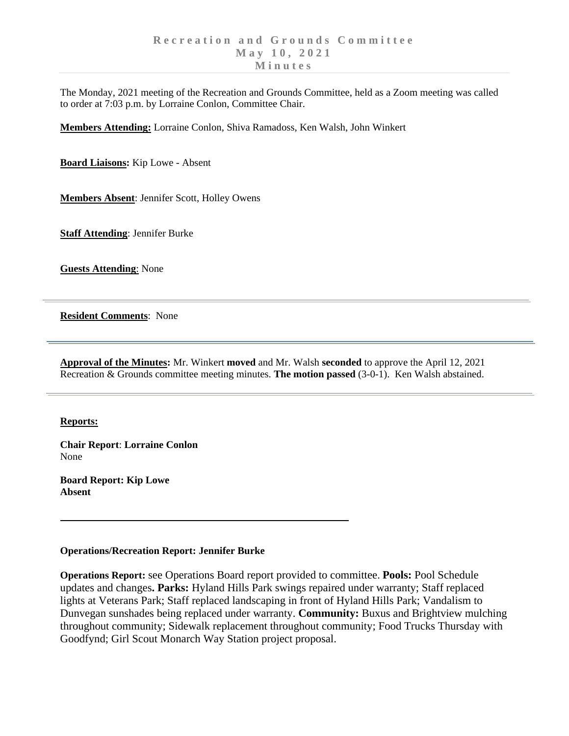The Monday, 2021 meeting of the Recreation and Grounds Committee, held as a Zoom meeting was called to order at 7:03 p.m. by Lorraine Conlon, Committee Chair.

**Members Attending:** Lorraine Conlon, Shiva Ramadoss, Ken Walsh, John Winkert

**Board Liaisons:** Kip Lowe - Absent

**Members Absent**: Jennifer Scott, Holley Owens

**Staff Attending**: Jennifer Burke

**Guests Attending**: None

**Resident Comments**: None

**Approval of the Minutes:** Mr. Winkert **moved** and Mr. Walsh **seconded** to approve the April 12, 2021 Recreation & Grounds committee meeting minutes. **The motion passed** (3-0-1). Ken Walsh abstained.

## **Reports:**

**Chair Report**: **Lorraine Conlon** None

**Board Report: Kip Lowe Absent**

## **Operations/Recreation Report: Jennifer Burke**

**Operations Report:** see Operations Board report provided to committee. **Pools:** Pool Schedule updates and changes**. Parks:** Hyland Hills Park swings repaired under warranty; Staff replaced lights at Veterans Park; Staff replaced landscaping in front of Hyland Hills Park; Vandalism to Dunvegan sunshades being replaced under warranty. **Community:** Buxus and Brightview mulching throughout community; Sidewalk replacement throughout community; Food Trucks Thursday with Goodfynd; Girl Scout Monarch Way Station project proposal.